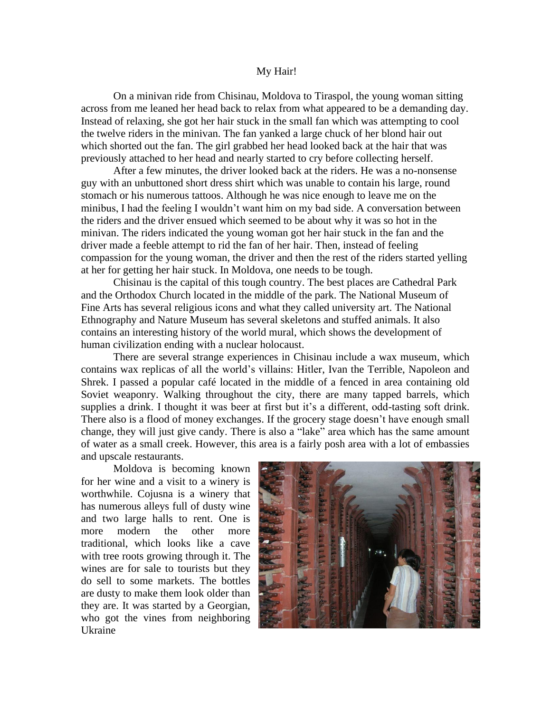## My Hair!

On a minivan ride from Chisinau, Moldova to Tiraspol, the young woman sitting across from me leaned her head back to relax from what appeared to be a demanding day. Instead of relaxing, she got her hair stuck in the small fan which was attempting to cool the twelve riders in the minivan. The fan yanked a large chuck of her blond hair out which shorted out the fan. The girl grabbed her head looked back at the hair that was previously attached to her head and nearly started to cry before collecting herself.

After a few minutes, the driver looked back at the riders. He was a no-nonsense guy with an unbuttoned short dress shirt which was unable to contain his large, round stomach or his numerous tattoos. Although he was nice enough to leave me on the minibus, I had the feeling I wouldn't want him on my bad side. A conversation between the riders and the driver ensued which seemed to be about why it was so hot in the minivan. The riders indicated the young woman got her hair stuck in the fan and the driver made a feeble attempt to rid the fan of her hair. Then, instead of feeling compassion for the young woman, the driver and then the rest of the riders started yelling at her for getting her hair stuck. In Moldova, one needs to be tough.

Chisinau is the capital of this tough country. The best places are Cathedral Park and the Orthodox Church located in the middle of the park. The National Museum of Fine Arts has several religious icons and what they called university art. The National Ethnography and Nature Museum has several skeletons and stuffed animals. It also contains an interesting history of the world mural, which shows the development of human civilization ending with a nuclear holocaust.

There are several strange experiences in Chisinau include a wax museum, which contains wax replicas of all the world's villains: Hitler, Ivan the Terrible, Napoleon and Shrek. I passed a popular café located in the middle of a fenced in area containing old Soviet weaponry. Walking throughout the city, there are many tapped barrels, which supplies a drink. I thought it was beer at first but it's a different, odd-tasting soft drink. There also is a flood of money exchanges. If the grocery stage doesn't have enough small change, they will just give candy. There is also a "lake" area which has the same amount of water as a small creek. However, this area is a fairly posh area with a lot of embassies and upscale restaurants.

Moldova is becoming known for her wine and a visit to a winery is worthwhile. Cojusna is a winery that has numerous alleys full of dusty wine and two large halls to rent. One is more modern the other more traditional, which looks like a cave with tree roots growing through it. The wines are for sale to tourists but they do sell to some markets. The bottles are dusty to make them look older than they are. It was started by a Georgian, who got the vines from neighboring Ukraine

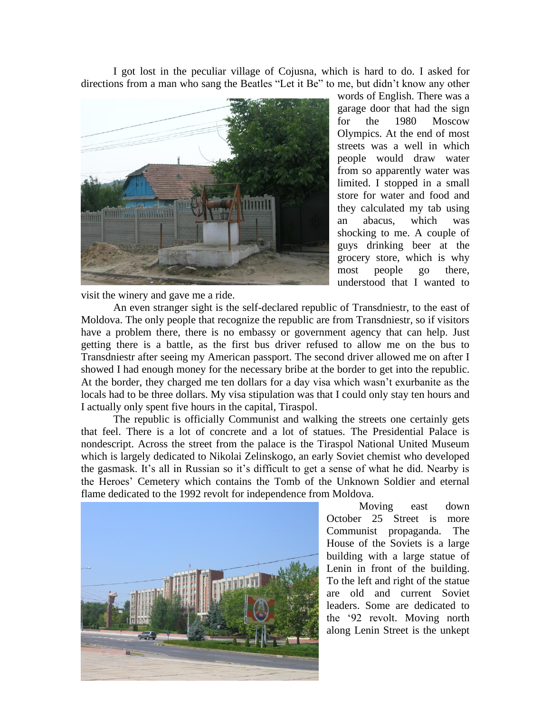I got lost in the peculiar village of Cojusna, which is hard to do. I asked for directions from a man who sang the Beatles "Let it Be" to me, but didn't know any other



words of English. There was a garage door that had the sign for the 1980 Moscow Olympics. At the end of most streets was a well in which people would draw water from so apparently water was limited. I stopped in a small store for water and food and they calculated my tab using an abacus, which was shocking to me. A couple of guys drinking beer at the grocery store, which is why most people go there, understood that I wanted to

visit the winery and gave me a ride.

An even stranger sight is the self-declared republic of Transdniestr, to the east of Moldova. The only people that recognize the republic are from Transdniestr, so if visitors have a problem there, there is no embassy or government agency that can help. Just getting there is a battle, as the first bus driver refused to allow me on the bus to Transdniestr after seeing my American passport. The second driver allowed me on after I showed I had enough money for the necessary bribe at the border to get into the republic. At the border, they charged me ten dollars for a day visa which wasn't exurbanite as the locals had to be three dollars. My visa stipulation was that I could only stay ten hours and I actually only spent five hours in the capital, Tiraspol.

The republic is officially Communist and walking the streets one certainly gets that feel. There is a lot of concrete and a lot of statues. The Presidential Palace is nondescript. Across the street from the palace is the Tiraspol National United Museum which is largely dedicated to Nikolai Zelinskogo, an early Soviet chemist who developed the gasmask. It's all in Russian so it's difficult to get a sense of what he did. Nearby is the Heroes' Cemetery which contains the Tomb of the Unknown Soldier and eternal flame dedicated to the 1992 revolt for independence from Moldova.



Moving east down October 25 Street is more Communist propaganda. The House of the Soviets is a large building with a large statue of Lenin in front of the building. To the left and right of the statue are old and current Soviet leaders. Some are dedicated to the '92 revolt. Moving north along Lenin Street is the unkept